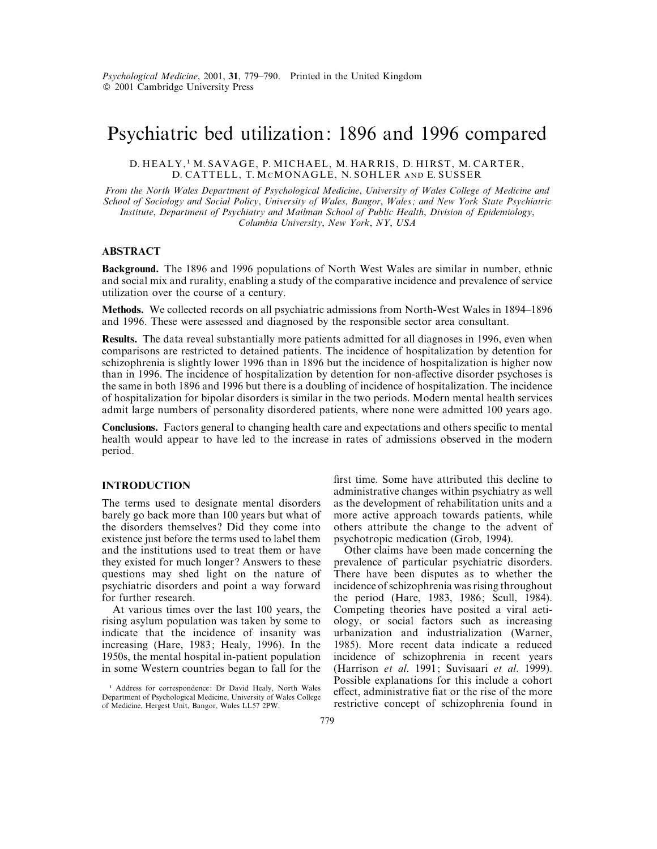# Psychiatric bed utilization: 1896 and 1996 compared

## D. HEALY,<sup>1</sup> M. SAVAGE, P. MICHAEL, M. HARRIS, D. HIRST, M. CARTER, D. CATTELL, T. MCMONAGLE, N. SOHLER AND E. SUSSER

*From the North Wales Department of Psychological Medicine*, *University of Wales College of Medicine and School of Sociology and Social Policy*, *University of Wales*, *Bangor*, *Wales ; and New York State Psychiatric Institute*, *Department of Psychiatry and Mailman School of Public Health*, *Division of Epidemiology*, *Columbia University*, *New York*, *NY*, *USA*

## **ABSTRACT**

**Background.** The 1896 and 1996 populations of North West Wales are similar in number, ethnic and social mix and rurality, enabling a study of the comparative incidence and prevalence of service utilization over the course of a century.

**Methods.** We collected records on all psychiatric admissions from North-West Wales in 1894–1896 and 1996. These were assessed and diagnosed by the responsible sector area consultant.

**Results.** The data reveal substantially more patients admitted for all diagnoses in 1996, even when comparisons are restricted to detained patients. The incidence of hospitalization by detention for schizophrenia is slightly lower 1996 than in 1896 but the incidence of hospitalization is higher now than in 1996. The incidence of hospitalization by detention for non-affective disorder psychoses is the same in both 1896 and 1996 but there is a doubling of incidence of hospitalization. The incidence of hospitalization for bipolar disorders is similar in the two periods. Modern mental health services admit large numbers of personality disordered patients, where none were admitted 100 years ago.

**Conclusions.** Factors general to changing health care and expectations and others specific to mental health would appear to have led to the increase in rates of admissions observed in the modern period.

## **INTRODUCTION**

The terms used to designate mental disorders barely go back more than 100 years but what of the disorders themselves ? Did they come into existence just before the terms used to label them and the institutions used to treat them or have they existed for much longer? Answers to these questions may shed light on the nature of psychiatric disorders and point a way forward for further research.

At various times over the last 100 years, the rising asylum population was taken by some to indicate that the incidence of insanity was increasing (Hare, 1983; Healy, 1996). In the 1950s, the mental hospital in-patient population in some Western countries began to fall for the first time. Some have attributed this decline to administrative changes within psychiatry as well as the development of rehabilitation units and a more active approach towards patients, while others attribute the change to the advent of psychotropic medication (Grob, 1994).

Other claims have been made concerning the prevalence of particular psychiatric disorders. There have been disputes as to whether the incidence of schizophrenia was rising throughout the period (Hare, 1983, 1986; Scull, 1984). Competing theories have posited a viral aetiology, or social factors such as increasing urbanization and industrialization (Warner, 1985). More recent data indicate a reduced incidence of schizophrenia in recent years (Harrison *et al*. 1991; Suvisaari *et al*. 1999). Possible explanations for this include a cohort effect, administrative fiat or the rise of the more restrictive concept of schizophrenia found in

<sup>&</sup>lt;sup>1</sup> Address for correspondence: Dr David Healy, North Wales Department of Psychological Medicine, University of Wales College of Medicine, Hergest Unit, Bangor, Wales LL57 2PW.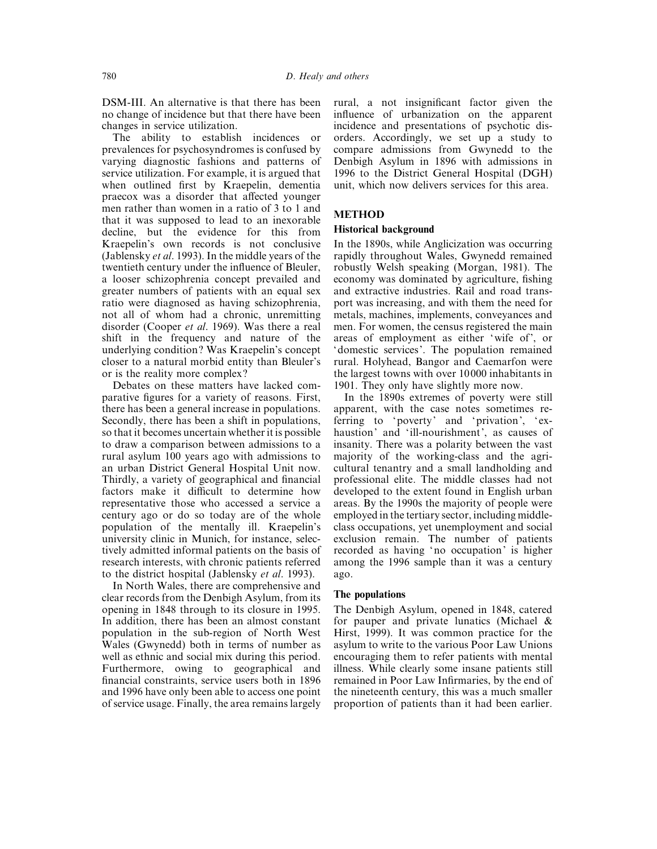DSM-III. An alternative is that there has been no change of incidence but that there have been changes in service utilization.

The ability to establish incidences or prevalences for psychosyndromes is confused by varying diagnostic fashions and patterns of service utilization. For example, it is argued that when outlined first by Kraepelin, dementia praecox was a disorder that affected younger men rather than women in a ratio of 3 to 1 and that it was supposed to lead to an inexorable decline, but the evidence for this from Kraepelin's own records is not conclusive (Jablensky *et al*. 1993). In the middle years of the twentieth century under the influence of Bleuler, a looser schizophrenia concept prevailed and greater numbers of patients with an equal sex ratio were diagnosed as having schizophrenia, not all of whom had a chronic, unremitting disorder (Cooper *et al*. 1969). Was there a real shift in the frequency and nature of the underlying condition ? Was Kraepelin's concept closer to a natural morbid entity than Bleuler's or is the reality more complex ?

Debates on these matters have lacked comparative figures for a variety of reasons. First, there has been a general increase in populations. Secondly, there has been a shift in populations, so that it becomes uncertain whether it is possible to draw a comparison between admissions to a rural asylum 100 years ago with admissions to an urban District General Hospital Unit now. Thirdly, a variety of geographical and financial factors make it difficult to determine how representative those who accessed a service a century ago or do so today are of the whole population of the mentally ill. Kraepelin's university clinic in Munich, for instance, selectively admitted informal patients on the basis of research interests, with chronic patients referred to the district hospital (Jablensky *et al*. 1993).

In North Wales, there are comprehensive and clear records from the Denbigh Asylum, from its opening in 1848 through to its closure in 1995. In addition, there has been an almost constant population in the sub-region of North West Wales (Gwynedd) both in terms of number as well as ethnic and social mix during this period. Furthermore, owing to geographical and financial constraints, service users both in 1896 and 1996 have only been able to access one point of service usage. Finally, the area remains largely rural, a not insignificant factor given the influence of urbanization on the apparent incidence and presentations of psychotic disorders. Accordingly, we set up a study to compare admissions from Gwynedd to the Denbigh Asylum in 1896 with admissions in 1996 to the District General Hospital (DGH) unit, which now delivers services for this area.

## **METHOD**

## **Historical background**

In the 1890s, while Anglicization was occurring rapidly throughout Wales, Gwynedd remained robustly Welsh speaking (Morgan, 1981). The economy was dominated by agriculture, fishing and extractive industries. Rail and road transport was increasing, and with them the need for metals, machines, implements, conveyances and men. For women, the census registered the main areas of employment as either 'wife of', or 'domestic services'. The population remained rural. Holyhead, Bangor and Caemarfon were the largest towns with over 10 000 inhabitants in 1901. They only have slightly more now.

In the 1890s extremes of poverty were still apparent, with the case notes sometimes referring to 'poverty' and 'privation', 'exhaustion' and 'ill-nourishment', as causes of insanity. There was a polarity between the vast majority of the working-class and the agricultural tenantry and a small landholding and professional elite. The middle classes had not developed to the extent found in English urban areas. By the 1990s the majority of people were employed in the tertiary sector, including middleclass occupations, yet unemployment and social exclusion remain. The number of patients recorded as having 'no occupation' is higher among the 1996 sample than it was a century ago.

#### **The populations**

The Denbigh Asylum, opened in 1848, catered for pauper and private lunatics (Michael & Hirst, 1999). It was common practice for the asylum to write to the various Poor Law Unions encouraging them to refer patients with mental illness. While clearly some insane patients still remained in Poor Law Infirmaries, by the end of the nineteenth century, this was a much smaller proportion of patients than it had been earlier.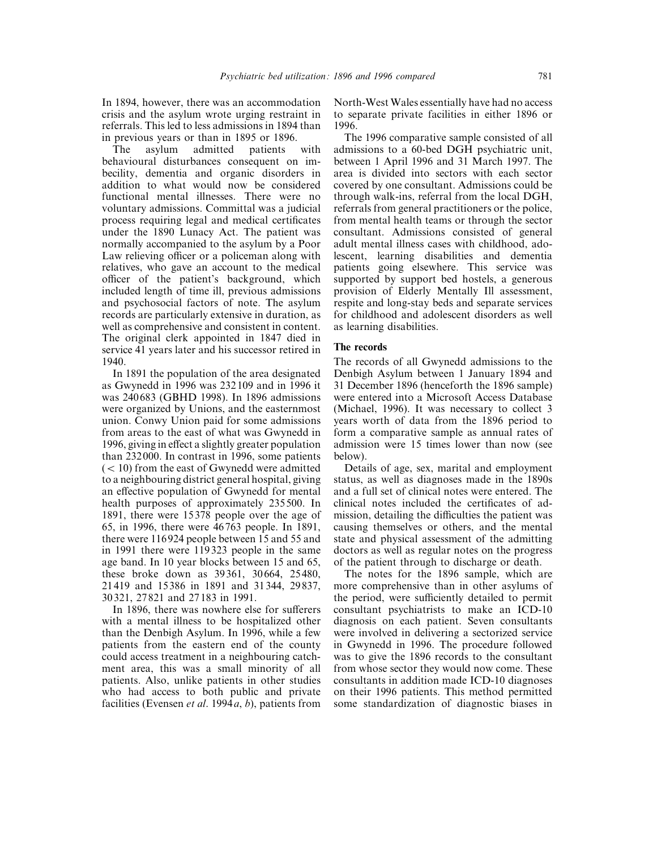In 1894, however, there was an accommodation crisis and the asylum wrote urging restraint in referrals. This led to less admissions in 1894 than in previous years or than in 1895 or 1896.

The asylum admitted patients with behavioural disturbances consequent on imbecility, dementia and organic disorders in addition to what would now be considered functional mental illnesses. There were no voluntary admissions. Committal was a judicial process requiring legal and medical certificates under the 1890 Lunacy Act. The patient was normally accompanied to the asylum by a Poor Law relieving officer or a policeman along with relatives, who gave an account to the medical officer of the patient's background, which included length of time ill, previous admissions and psychosocial factors of note. The asylum records are particularly extensive in duration, as well as comprehensive and consistent in content. The original clerk appointed in 1847 died in service 41 years later and his successor retired in 1940.

In 1891 the population of the area designated as Gwynedd in 1996 was 232 109 and in 1996 it was 240 683 (GBHD 1998). In 1896 admissions were organized by Unions, and the easternmost union. Conwy Union paid for some admissions from areas to the east of what was Gwynedd in 1996, giving in effect a slightly greater population than 232 000. In contrast in 1996, some patients  $(< 10$ ) from the east of Gwynedd were admitted to a neighbouring district general hospital, giving an effective population of Gwynedd for mental health purposes of approximately 235 500. In 1891, there were 15 378 people over the age of 65, in 1996, there were 46 763 people. In 1891, there were 116 924 people between 15 and 55 and in 1991 there were 119 323 people in the same age band. In 10 year blocks between 15 and 65, these broke down as 39 361, 30 664, 25 480, 21 419 and 15 386 in 1891 and 31 344, 29 837, 30 321, 27 821 and 27 183 in 1991.

In 1896, there was nowhere else for sufferers with a mental illness to be hospitalized other than the Denbigh Asylum. In 1996, while a few patients from the eastern end of the county could access treatment in a neighbouring catchment area, this was a small minority of all patients. Also, unlike patients in other studies who had access to both public and private facilities (Evensen *et al*. 1994*a*, *b*), patients from North-West Wales essentially have had no access to separate private facilities in either 1896 or 1996.

The 1996 comparative sample consisted of all admissions to a 60-bed DGH psychiatric unit, between 1 April 1996 and 31 March 1997. The area is divided into sectors with each sector covered by one consultant. Admissions could be through walk-ins, referral from the local DGH, referrals from general practitioners or the police, from mental health teams or through the sector consultant. Admissions consisted of general adult mental illness cases with childhood, adolescent, learning disabilities and dementia patients going elsewhere. This service was supported by support bed hostels, a generous provision of Elderly Mentally Ill assessment, respite and long-stay beds and separate services for childhood and adolescent disorders as well as learning disabilities.

#### **The records**

The records of all Gwynedd admissions to the Denbigh Asylum between 1 January 1894 and 31 December 1896 (henceforth the 1896 sample) were entered into a Microsoft Access Database (Michael, 1996). It was necessary to collect 3 years worth of data from the 1896 period to form a comparative sample as annual rates of admission were 15 times lower than now (see below).

Details of age, sex, marital and employment status, as well as diagnoses made in the 1890s and a full set of clinical notes were entered. The clinical notes included the certificates of admission, detailing the difficulties the patient was causing themselves or others, and the mental state and physical assessment of the admitting doctors as well as regular notes on the progress of the patient through to discharge or death.

The notes for the 1896 sample, which are more comprehensive than in other asylums of the period, were sufficiently detailed to permit consultant psychiatrists to make an ICD-10 diagnosis on each patient. Seven consultants were involved in delivering a sectorized service in Gwynedd in 1996. The procedure followed was to give the 1896 records to the consultant from whose sector they would now come. These consultants in addition made ICD-10 diagnoses on their 1996 patients. This method permitted some standardization of diagnostic biases in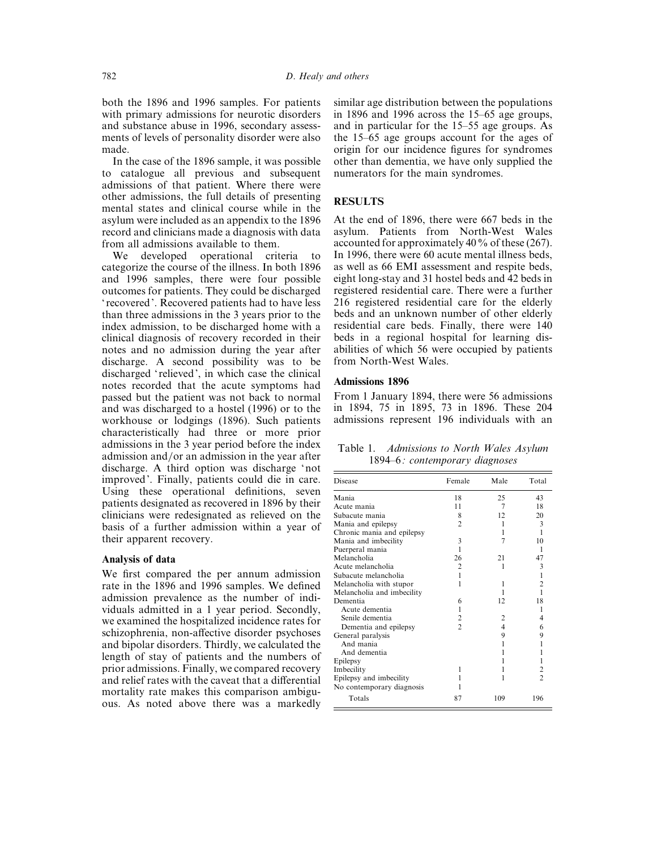both the 1896 and 1996 samples. For patients with primary admissions for neurotic disorders and substance abuse in 1996, secondary assessments of levels of personality disorder were also made.

In the case of the 1896 sample, it was possible to catalogue all previous and subsequent admissions of that patient. Where there were other admissions, the full details of presenting mental states and clinical course while in the asylum were included as an appendix to the 1896 record and clinicians made a diagnosis with data from all admissions available to them.

We developed operational criteria to categorize the course of the illness. In both 1896 and 1996 samples, there were four possible outcomes for patients. They could be discharged ' recovered'. Recovered patients had to have less than three admissions in the 3 years prior to the index admission, to be discharged home with a clinical diagnosis of recovery recorded in their notes and no admission during the year after discharge. A second possibility was to be discharged 'relieved', in which case the clinical notes recorded that the acute symptoms had passed but the patient was not back to normal and was discharged to a hostel (1996) or to the workhouse or lodgings (1896). Such patients characteristically had three or more prior admissions in the 3 year period before the index admission and/or an admission in the year after discharge. A third option was discharge 'not improved'. Finally, patients could die in care. Using these operational definitions, seven patients designated as recovered in 1896 by their clinicians were redesignated as relieved on the basis of a further admission within a year of their apparent recovery.

## **Analysis of data**

We first compared the per annum admission rate in the 1896 and 1996 samples. We defined admission prevalence as the number of individuals admitted in a 1 year period. Secondly, we examined the hospitalized incidence rates for schizophrenia, non-affective disorder psychoses and bipolar disorders. Thirdly, we calculated the length of stay of patients and the numbers of prior admissions. Finally, we compared recovery and relief rates with the caveat that a differential mortality rate makes this comparison ambiguous. As noted above there was a markedly

similar age distribution between the populations in 1896 and 1996 across the 15–65 age groups, and in particular for the 15–55 age groups. As the 15–65 age groups account for the ages of origin for our incidence figures for syndromes other than dementia, we have only supplied the numerators for the main syndromes.

## **RESULTS**

At the end of 1896, there were 667 beds in the asylum. Patients from North-West Wales accounted for approximately 40% of these (267). In 1996, there were 60 acute mental illness beds, as well as 66 EMI assessment and respite beds, eight long-stay and 31 hostel beds and 42 beds in registered residential care. There were a further 216 registered residential care for the elderly beds and an unknown number of other elderly residential care beds. Finally, there were 140 beds in a regional hospital for learning disabilities of which 56 were occupied by patients from North-West Wales.

#### **Admissions 1896**

From 1 January 1894, there were 56 admissions in 1894, 75 in 1895, 73 in 1896. These 204 admissions represent 196 individuals with an

|  | Table 1. Admissions to North Wales Asylum |  |  |  |
|--|-------------------------------------------|--|--|--|
|  | 1894–6: contemporary diagnoses            |  |  |  |

| Disease                    | Female         | Male | Total          |
|----------------------------|----------------|------|----------------|
|                            |                |      |                |
| Mania                      | 18             | 25   | 43             |
| Acute mania                | 11             | 7    | 18             |
| Subacute mania             | 8              | 12   | 20             |
| Mania and epilepsy         | $\overline{c}$ | 1    | 3              |
| Chronic mania and epilepsy |                | 1    | 1              |
| Mania and imbecility       | 3              | 7    | 10             |
| Puerperal mania            | 1              |      |                |
| Melancholia                | 26             | 21   | 47             |
| Acute melancholia          | 2              | 1    | 3              |
| Subacute melancholia       | 1              |      | 1              |
| Melancholia with stupor    | 1              | 1    | $\overline{c}$ |
| Melancholia and imbecility |                |      |                |
| Dementia                   | 6              | 12   | 18             |
| Acute dementia             | 1              |      |                |
| Senile dementia            |                | 2    | 4              |
| Dementia and epilepsy      | $\overline{c}$ | 4    | 6              |
| General paralysis          |                | 9    | 9              |
| And mania                  |                | 1    |                |
| And dementia               |                |      |                |
| Epilepsy                   |                |      |                |
| Imbecility                 |                | 1    | 2              |
| Epilepsy and imbecility    |                | 1    | $\mathfrak{D}$ |
| No contemporary diagnosis  |                |      |                |
| Totals                     | 87             | 109  | 196            |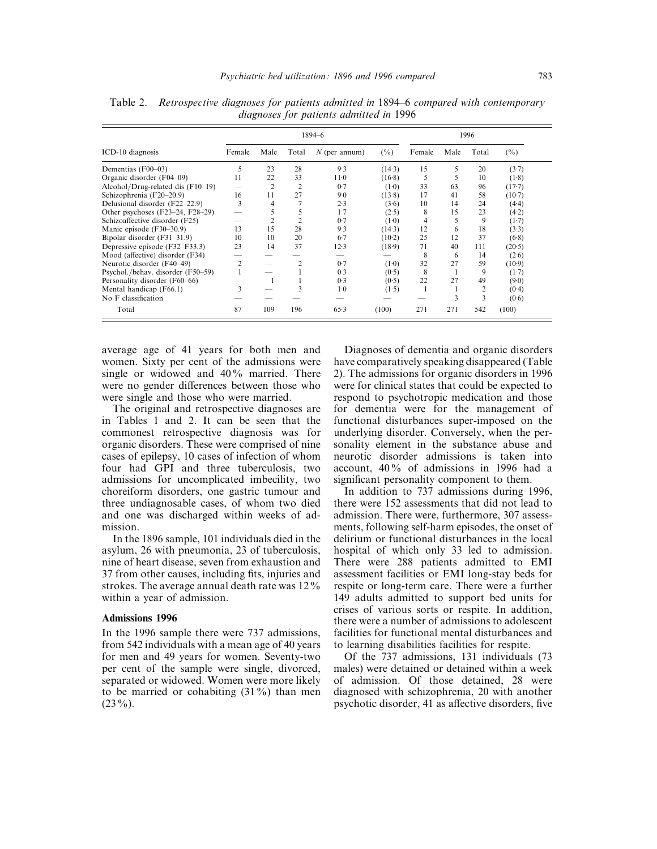|                                     | 1894-6 |      |       |                 | 1996     |        |      |              |          |
|-------------------------------------|--------|------|-------|-----------------|----------|--------|------|--------------|----------|
| ICD-10 diagnosis                    | Female | Male | Total | $N$ (per annum) | $(\%)$   | Female | Male | Total        | (%)      |
| Dementias (F00–03)                  | 5      | 23   | 28    | 9.3             | (14.3)   | 15     | 5    | 20           | (3.7)    |
| Organic disorder (F04-09)           | 11     | 22   | 33    | $11-0$          | $(16-8)$ | 5      | 5    | 10           | (1.8)    |
| Alcohol/Drug-related dis $(F10-19)$ |        | 2    | 2     | 0.7             | (1.0)    | 33     | 63   | 96           | $(17-7)$ |
| Schizophrenia (F20-20.9)            | 16     | 11   | 27    | $9-0$           | (13.8)   | 17     | 41   | 58           | $(10-7)$ |
| Delusional disorder (F22-22.9)      | 3      | 4    |       | 2.3             | (3.6)    | 10     | 14   | 24           | (4.4)    |
| Other psychoses (F23-24, F28-29)    |        |      | 5     | 1.7             | (2.5)    | 8      | 15   | 23           | (4.2)    |
| Schizoaffective disorder (F25)      |        | 2    | 2     | 0.7             | (1.0)    | 4      | 5    | 9            | (1.7)    |
| Manic episode (F30–30.9)            | 13     | 15   | 28    | 9.3             | (14.3)   | 12     | 6    | 18           | (3.3)    |
| Bipolar disorder $(F31-31.9)$       | 10     | 10   | 20    | $6-7$           | (10.2)   | 25     | 12   | 37           | (6.8)    |
| Depressive episode (F32–F33.3)      | 23     | 14   | 37    | 12.3            | (18.9)   | 71     | 40   | 111          | (20.5)   |
| Mood (affective) disorder (F34)     |        |      |       |                 |          | 8      | 6    | 14           | (2.6)    |
| Neurotic disorder (F40-49)          | 2      |      | 2     | 0.7             | (1.0)    | 32     | 27   | 59           | (10.9)   |
| Psychol./behav. disorder (F50–59)   |        |      |       | 0.3             | (0.5)    | 8      |      | 9            | (1.7)    |
| Personality disorder (F60–66)       |        |      |       | 0.3             | (0.5)    | 22     | 27   | 49           | (9.0)    |
| Mental handicap (F66.1)             | 3      |      | 3     | $1-0$           | (1.5)    |        |      | 2            | (0.4)    |
| No F classification                 |        |      |       |                 |          |        | 3    | $\mathbf{3}$ | (0.6)    |
| Total                               | 87     | 109  | 196   | 65.3            | (100)    | 271    | 271  | 542          | (100)    |

Table 2. *Retrospective diagnoses for patients admitted in* 1894*–*6 *compared with contemporary diagnoses for patients admitted in* 1996

average age of 41 years for both men and women. Sixty per cent of the admissions were single or widowed and 40% married. There were no gender differences between those who were single and those who were married.

The original and retrospective diagnoses are in Tables 1 and 2. It can be seen that the commonest retrospective diagnosis was for organic disorders. These were comprised of nine cases of epilepsy, 10 cases of infection of whom four had GPI and three tuberculosis, two admissions for uncomplicated imbecility, two choreiform disorders, one gastric tumour and three undiagnosable cases, of whom two died and one was discharged within weeks of admission.

In the 1896 sample, 101 individuals died in the asylum, 26 with pneumonia, 23 of tuberculosis, nine of heart disease, seven from exhaustion and 37 from other causes, including fits, injuries and strokes. The average annual death rate was 12% within a year of admission.

## **Admissions 1996**

In the 1996 sample there were 737 admissions, from 542 individuals with a mean age of 40 years for men and 49 years for women. Seventy-two per cent of the sample were single, divorced, separated or widowed. Women were more likely to be married or cohabiting (31%) than men  $(23\%)$ .

Diagnoses of dementia and organic disorders have comparatively speaking disappeared (Table 2). The admissions for organic disorders in 1996 were for clinical states that could be expected to respond to psychotropic medication and those for dementia were for the management of functional disturbances super-imposed on the underlying disorder. Conversely, when the personality element in the substance abuse and neurotic disorder admissions is taken into account, 40% of admissions in 1996 had a significant personality component to them.

In addition to 737 admissions during 1996, there were 152 assessments that did not lead to admission. There were, furthermore, 307 assessments, following self-harm episodes, the onset of delirium or functional disturbances in the local hospital of which only 33 led to admission. There were 288 patients admitted to EMI assessment facilities or EMI long-stay beds for respite or long-term care. There were a further 149 adults admitted to support bed units for crises of various sorts or respite. In addition, there were a number of admissions to adolescent facilities for functional mental disturbances and to learning disabilities facilities for respite.

Of the 737 admissions, 131 individuals (73 males) were detained or detained within a week of admission. Of those detained, 28 were diagnosed with schizophrenia, 20 with another psychotic disorder, 41 as affective disorders, five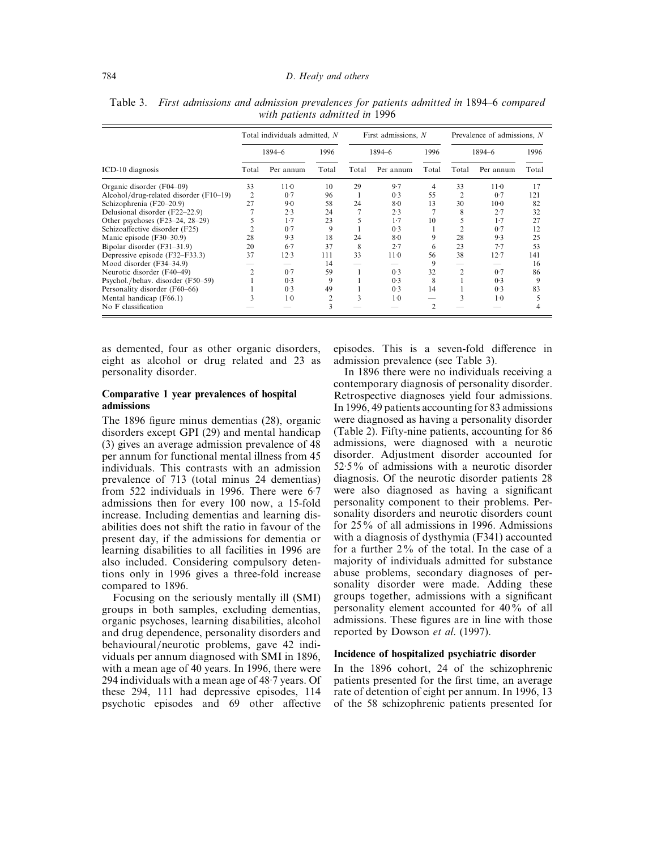|                                        |       | Total individuals admitted, N |                | First admissions, $N$ |           |                | Prevalence of admissions, N |           |       |
|----------------------------------------|-------|-------------------------------|----------------|-----------------------|-----------|----------------|-----------------------------|-----------|-------|
|                                        |       | 1894-6                        | 1996           |                       | 1894-6    | 1996           |                             | 1894-6    | 1996  |
| ICD-10 diagnosis                       | Total | Per annum                     | Total          | Total                 | Per annum | Total          | Total                       | Per annum | Total |
| Organic disorder (F04–09)              | 33    | $11-0$                        | 10             | 29                    | 9.7       | 4              | 33                          | $11-0$    | 17    |
| Alcohol/drug-related disorder (F10–19) | 2     | 0.7                           | 96             |                       | 0.3       | 55             |                             | 0.7       | 121   |
| Schizophrenia (F20-20.9)               | 27    | $9-0$                         | 58             | 24                    | $8-0$     | 13             | 30                          | $10-0$    | 82    |
| Delusional disorder (F22-22.9)         |       | 2.3                           | 24             |                       | 2.3       |                | 8                           | 2.7       | 32    |
| Other psychoses $(F23-24, 28-29)$      |       | 1.7                           | 23             | 5                     | 1.7       | 10             |                             | 1.7       | 27    |
| Schizoaffective disorder (F25)         |       | 0.7                           | 9              |                       | 0.3       |                |                             | 0.7       | 12    |
| Manic episode $(F30-30.9)$             | 28    | 9.3                           | 18             | 24                    | $8-0$     | 9              | 28                          | 9.3       | 25    |
| Bipolar disorder $(F31-31.9)$          | 20    | $6-7$                         | 37             | 8                     | 2.7       | 6              | 23                          | 7.7       | 53    |
| Depressive episode $(F32-F33.3)$       | 37    | 12.3                          | 111            | 33                    | $11-0$    | 56             | 38                          | 12.7      | 141   |
| Mood disorder (F34–34.9)               |       |                               | 14             |                       |           | 9              |                             |           | 16    |
| Neurotic disorder (F40–49)             |       | 0.7                           | 59             |                       | 0.3       | 32             |                             | 0.7       | 86    |
| Psychol./behav. disorder (F50–59)      |       | 0.3                           | 9              |                       | 0.3       | 8              |                             | 0.3       | 9     |
| Personality disorder (F60-66)          |       | 0.3                           | 49             |                       | 0.3       | 14             |                             | 0.3       | 83    |
| Mental handicap (F66.1)                |       | $1-0$                         | $\overline{c}$ | 3                     | $1-0$     |                |                             | $1-0$     |       |
| No F classification                    |       |                               | 3              |                       |           | $\mathfrak{D}$ |                             |           |       |

Table 3. *First admissions and admission prevalences for patients admitted in* 1894*–*6 *compared with patients admitted in* 1996

as demented, four as other organic disorders, eight as alcohol or drug related and 23 as personality disorder.

### **Comparative 1 year prevalences of hospital admissions**

The 1896 figure minus dementias (28), organic disorders except GPI (29) and mental handicap (3) gives an average admission prevalence of 48 per annum for functional mental illness from 45 individuals. This contrasts with an admission prevalence of 713 (total minus 24 dementias) from 522 individuals in 1996. There were 6.7 admissions then for every 100 now, a 15-fold increase. Including dementias and learning disabilities does not shift the ratio in favour of the present day, if the admissions for dementia or learning disabilities to all facilities in 1996 are also included. Considering compulsory detentions only in 1996 gives a three-fold increase compared to 1896.

Focusing on the seriously mentally ill (SMI) groups in both samples, excluding dementias, organic psychoses, learning disabilities, alcohol and drug dependence, personality disorders and behavioural/neurotic problems, gave 42 individuals per annum diagnosed with SMI in 1896, with a mean age of 40 years. In 1996, there were 294 individuals with a mean age of  $48·7$  years. Of these 294, 111 had depressive episodes, 114 psychotic episodes and 69 other affective

episodes. This is a seven-fold difference in admission prevalence (see Table 3).

In 1896 there were no individuals receiving a contemporary diagnosis of personality disorder. Retrospective diagnoses yield four admissions. In 1996, 49 patients accounting for 83 admissions were diagnosed as having a personality disorder (Table 2). Fifty-nine patients, accounting for 86 admissions, were diagnosed with a neurotic disorder. Adjustment disorder accounted for  $52.5\%$  of admissions with a neurotic disorder diagnosis. Of the neurotic disorder patients 28 were also diagnosed as having a significant personality component to their problems. Personality disorders and neurotic disorders count for 25% of all admissions in 1996. Admissions with a diagnosis of dysthymia (F341) accounted for a further 2% of the total. In the case of a majority of individuals admitted for substance abuse problems, secondary diagnoses of personality disorder were made. Adding these groups together, admissions with a significant personality element accounted for 40% of all admissions. These figures are in line with those reported by Dowson *et al*. (1997).

#### **Incidence of hospitalized psychiatric disorder**

In the 1896 cohort, 24 of the schizophrenic patients presented for the first time, an average rate of detention of eight per annum. In 1996, 13 of the 58 schizophrenic patients presented for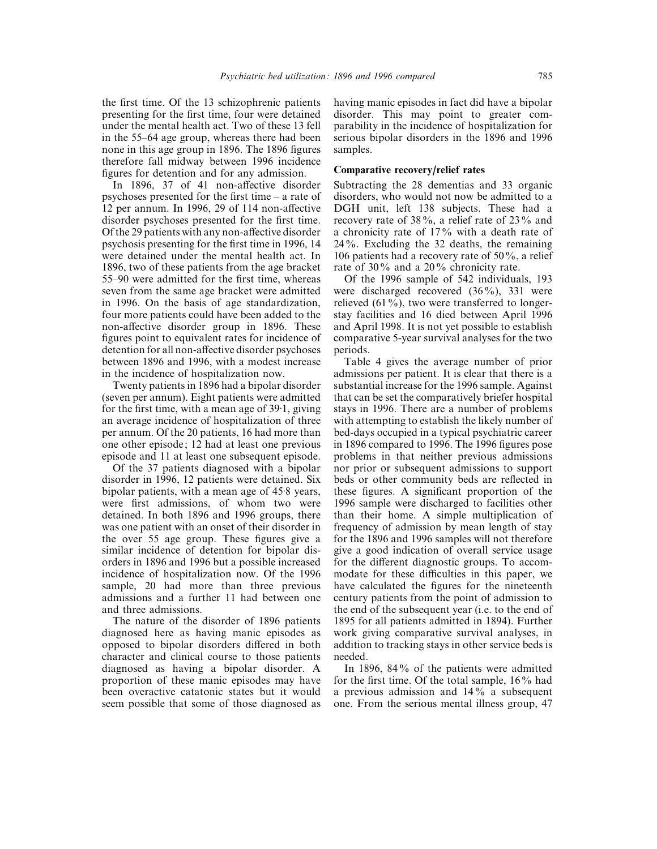the first time. Of the 13 schizophrenic patients presenting for the first time, four were detained under the mental health act. Two of these 13 fell in the 55–64 age group, whereas there had been none in this age group in 1896. The 1896 figures therefore fall midway between 1996 incidence figures for detention and for any admission.

In 1896, 37 of 41 non-affective disorder psychoses presented for the first time – a rate of 12 per annum. In 1996, 29 of 114 non-affective disorder psychoses presented for the first time. Of the 29 patients with any non-affective disorder psychosis presenting for the first time in 1996, 14 were detained under the mental health act. In 1896, two of these patients from the age bracket 55–90 were admitted for the first time, whereas seven from the same age bracket were admitted in 1996. On the basis of age standardization, four more patients could have been added to the non-affective disorder group in 1896. These figures point to equivalent rates for incidence of detention for all non-affective disorder psychoses between 1896 and 1996, with a modest increase in the incidence of hospitalization now.

Twenty patients in 1896 had a bipolar disorder (seven per annum). Eight patients were admitted for the first time, with a mean age of  $39.1$ , giving an average incidence of hospitalization of three per annum. Of the 20 patients, 16 had more than one other episode; 12 had at least one previous episode and 11 at least one subsequent episode.

Of the 37 patients diagnosed with a bipolar disorder in 1996, 12 patients were detained. Six bipolar patients, with a mean age of 45 $\cdot$ 8 years, were first admissions, of whom two were detained. In both 1896 and 1996 groups, there was one patient with an onset of their disorder in the over 55 age group. These figures give a similar incidence of detention for bipolar disorders in 1896 and 1996 but a possible increased incidence of hospitalization now. Of the 1996 sample, 20 had more than three previous admissions and a further 11 had between one and three admissions.

The nature of the disorder of 1896 patients diagnosed here as having manic episodes as opposed to bipolar disorders differed in both character and clinical course to those patients diagnosed as having a bipolar disorder. A proportion of these manic episodes may have been overactive catatonic states but it would seem possible that some of those diagnosed as having manic episodes in fact did have a bipolar disorder. This may point to greater comparability in the incidence of hospitalization for serious bipolar disorders in the 1896 and 1996 samples.

## **Comparative recovery/relief rates**

Subtracting the 28 dementias and 33 organic disorders, who would not now be admitted to a DGH unit, left 138 subjects. These had a recovery rate of 38%, a relief rate of 23% and a chronicity rate of 17% with a death rate of 24%. Excluding the 32 deaths, the remaining 106 patients had a recovery rate of 50%, a relief rate of 30% and a 20% chronicity rate.

Of the 1996 sample of 542 individuals, 193 were discharged recovered (36%), 331 were relieved (61%), two were transferred to longerstay facilities and 16 died between April 1996 and April 1998. It is not yet possible to establish comparative 5-year survival analyses for the two periods.

Table 4 gives the average number of prior admissions per patient. It is clear that there is a substantial increase for the 1996 sample. Against that can be set the comparatively briefer hospital stays in 1996. There are a number of problems with attempting to establish the likely number of bed-days occupied in a typical psychiatric career in 1896 compared to 1996. The 1996 figures pose problems in that neither previous admissions nor prior or subsequent admissions to support beds or other community beds are reflected in these figures. A significant proportion of the 1996 sample were discharged to facilities other than their home. A simple multiplication of frequency of admission by mean length of stay for the 1896 and 1996 samples will not therefore give a good indication of overall service usage for the different diagnostic groups. To accommodate for these difficulties in this paper, we have calculated the figures for the nineteenth century patients from the point of admission to the end of the subsequent year (i.e. to the end of 1895 for all patients admitted in 1894). Further work giving comparative survival analyses, in addition to tracking stays in other service beds is needed.

In 1896, 84% of the patients were admitted for the first time. Of the total sample, 16% had a previous admission and 14% a subsequent one. From the serious mental illness group, 47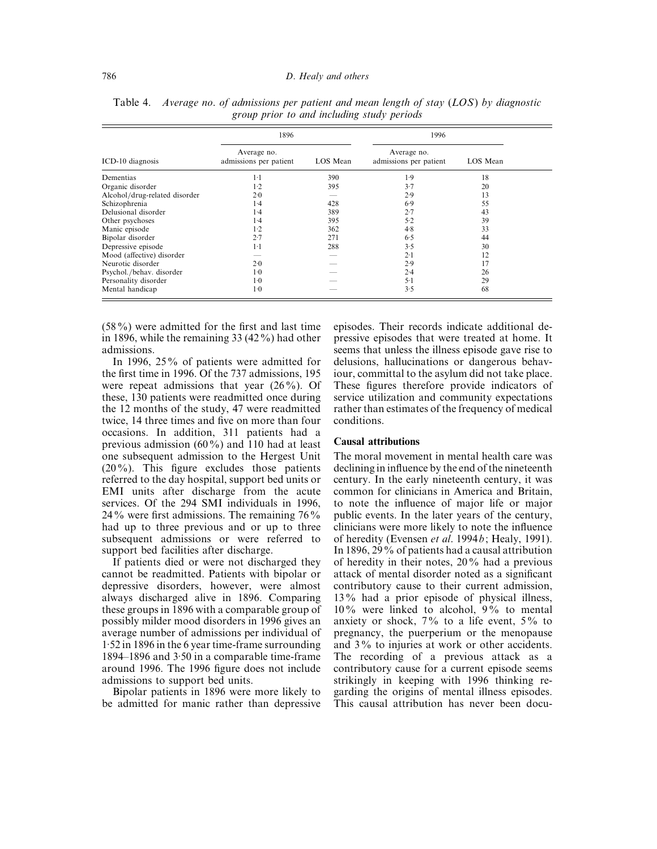#### 786 *D. Healy and others*

|                               | 1896                                  |          | 1996                                  |          |  |  |
|-------------------------------|---------------------------------------|----------|---------------------------------------|----------|--|--|
| ICD-10 diagnosis              | Average no.<br>admissions per patient | LOS Mean | Average no.<br>admissions per patient | LOS Mean |  |  |
| Dementias                     | $1-1$                                 | 390      | 1.9                                   | 18       |  |  |
| Organic disorder              | 1.2                                   | 395      | 3.7                                   | 20       |  |  |
| Alcohol/drug-related disorder | 2.0                                   |          | 2.9                                   | 13       |  |  |
| Schizophrenia                 | 1.4                                   | 428      | 6.9                                   | 55       |  |  |
| Delusional disorder           | 1.4                                   | 389      | 2.7                                   | 43       |  |  |
| Other psychoses               | 1.4                                   | 395      | 5.2                                   | 39       |  |  |
| Manic episode                 | $1-2$                                 | 362      | 4.8                                   | 33       |  |  |
| Bipolar disorder              | 2.7                                   | 271      | 6.5                                   | 44       |  |  |
| Depressive episode            | $1-1$                                 | 288      | 3.5                                   | 30       |  |  |
| Mood (affective) disorder     |                                       |          | $2-1$                                 | 12       |  |  |
| Neurotic disorder             | 2.0                                   |          | 2.9                                   | 17       |  |  |
| Psychol./behav. disorder      | $1-0$                                 |          | 2.4                                   | 26       |  |  |
| Personality disorder          | $1-0$                                 |          | $5-1$                                 | 29       |  |  |
| Mental handicap               | $1-0$                                 |          | 3.5                                   | 68       |  |  |

Table 4. *Average no*. *of admissions per patient and mean length of stay* (*LOS*) *by diagnostic group prior to and including study periods*

(58%) were admitted for the first and last time in 1896, while the remaining 33 (42%) had other admissions.

In 1996, 25% of patients were admitted for the first time in 1996. Of the 737 admissions, 195 were repeat admissions that year (26%). Of these, 130 patients were readmitted once during the 12 months of the study, 47 were readmitted twice, 14 three times and five on more than four occasions. In addition, 311 patients had a previous admission (60%) and 110 had at least one subsequent admission to the Hergest Unit (20%). This figure excludes those patients referred to the day hospital, support bed units or EMI units after discharge from the acute services. Of the 294 SMI individuals in 1996, 24% were first admissions. The remaining  $76\%$ had up to three previous and or up to three subsequent admissions or were referred to support bed facilities after discharge.

If patients died or were not discharged they cannot be readmitted. Patients with bipolar or depressive disorders, however, were almost always discharged alive in 1896. Comparing these groups in 1896 with a comparable group of possibly milder mood disorders in 1996 gives an average number of admissions per individual of 1±52 in 1896 in the 6 year time-frame surrounding  $1894-1896$  and  $3.50$  in a comparable time-frame around 1996. The 1996 figure does not include admissions to support bed units.

Bipolar patients in 1896 were more likely to be admitted for manic rather than depressive

episodes. Their records indicate additional depressive episodes that were treated at home. It seems that unless the illness episode gave rise to delusions, hallucinations or dangerous behaviour, committal to the asylum did not take place. These figures therefore provide indicators of service utilization and community expectations rather than estimates of the frequency of medical conditions.

#### **Causal attributions**

The moral movement in mental health care was declining in influence by the end of the nineteenth century. In the early nineteenth century, it was common for clinicians in America and Britain, to note the influence of major life or major public events. In the later years of the century, clinicians were more likely to note the influence of heredity (Evensen *et al*. 1994*b*; Healy, 1991). In 1896, 29% of patients had a causal attribution of heredity in their notes, 20% had a previous attack of mental disorder noted as a significant contributory cause to their current admission, 13% had a prior episode of physical illness, 10% were linked to alcohol, 9% to mental anxiety or shock,  $7\%$  to a life event,  $5\%$  to pregnancy, the puerperium or the menopause and 3% to injuries at work or other accidents. The recording of a previous attack as a contributory cause for a current episode seems strikingly in keeping with 1996 thinking regarding the origins of mental illness episodes. This causal attribution has never been docu-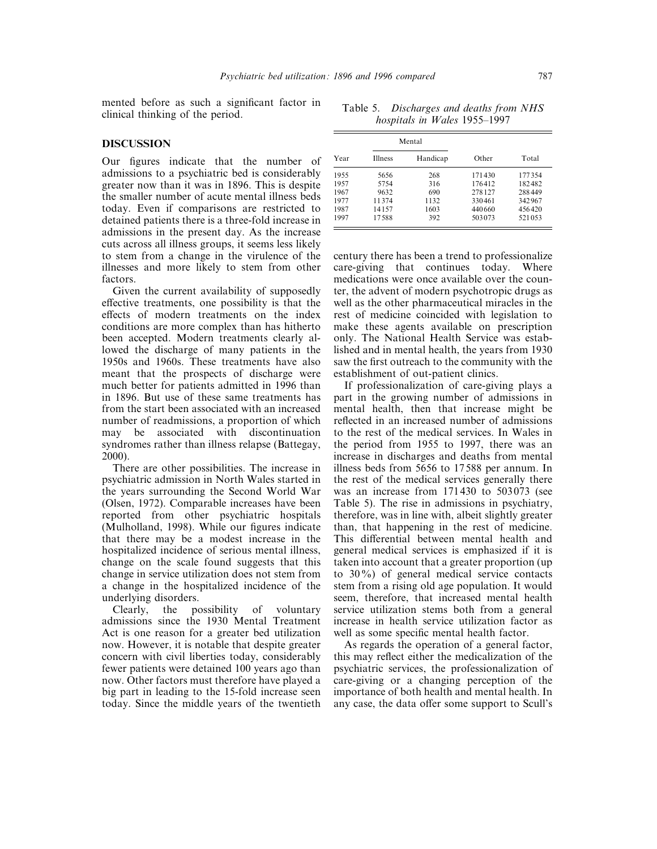mented before as such a significant factor in clinical thinking of the period.

## **DISCUSSION**

Our figures indicate that the number of admissions to a psychiatric bed is considerably greater now than it was in 1896. This is despite the smaller number of acute mental illness beds today. Even if comparisons are restricted to detained patients there is a three-fold increase in admissions in the present day. As the increase cuts across all illness groups, it seems less likely to stem from a change in the virulence of the illnesses and more likely to stem from other factors.

Given the current availability of supposedly effective treatments, one possibility is that the effects of modern treatments on the index conditions are more complex than has hitherto been accepted. Modern treatments clearly allowed the discharge of many patients in the 1950s and 1960s. These treatments have also meant that the prospects of discharge were much better for patients admitted in 1996 than in 1896. But use of these same treatments has from the start been associated with an increased number of readmissions, a proportion of which may be associated with discontinuation syndromes rather than illness relapse (Battegay, 2000).

There are other possibilities. The increase in psychiatric admission in North Wales started in the years surrounding the Second World War (Olsen, 1972). Comparable increases have been reported from other psychiatric hospitals (Mulholland, 1998). While our figures indicate that there may be a modest increase in the hospitalized incidence of serious mental illness, change on the scale found suggests that this change in service utilization does not stem from a change in the hospitalized incidence of the underlying disorders.<br>Clearly, the po

possibility of voluntary admissions since the 1930 Mental Treatment Act is one reason for a greater bed utilization now. However, it is notable that despite greater concern with civil liberties today, considerably fewer patients were detained 100 years ago than now. Other factors must therefore have played a big part in leading to the 15-fold increase seen today. Since the middle years of the twentieth

Table 5. *Discharges and deaths from NHS hospitals in Wales* 1955*–*1997

| Year |                | Mental   |        |        |
|------|----------------|----------|--------|--------|
|      | <b>Illness</b> | Handicap | Other  | Total  |
| 1955 | 5656           | 268      | 171430 | 177354 |
| 1957 | 5754           | 316      | 176412 | 182482 |
| 1967 | 9632           | 690      | 278127 | 288449 |
| 1977 | 11374          | 1132     | 330461 | 342967 |
| 1987 | 14157          | 1603     | 440660 | 456420 |
| 1997 | 17.588         | 392      | 503073 | 521053 |

century there has been a trend to professionalize care-giving that continues today. Where medications were once available over the counter, the advent of modern psychotropic drugs as well as the other pharmaceutical miracles in the rest of medicine coincided with legislation to make these agents available on prescription only. The National Health Service was established and in mental health, the years from 1930 saw the first outreach to the community with the establishment of out-patient clinics.

If professionalization of care-giving plays a part in the growing number of admissions in mental health, then that increase might be reflected in an increased number of admissions to the rest of the medical services. In Wales in the period from 1955 to 1997, there was an increase in discharges and deaths from mental illness beds from 5656 to 17 588 per annum. In the rest of the medical services generally there was an increase from 171430 to 503073 (see Table 5). The rise in admissions in psychiatry, therefore, was in line with, albeit slightly greater than, that happening in the rest of medicine. This differential between mental health and general medical services is emphasized if it is taken into account that a greater proportion (up to 30%) of general medical service contacts stem from a rising old age population. It would seem, therefore, that increased mental health service utilization stems both from a general increase in health service utilization factor as well as some specific mental health factor.

As regards the operation of a general factor, this may reflect either the medicalization of the psychiatric services, the professionalization of care-giving or a changing perception of the importance of both health and mental health. In any case, the data offer some support to Scull's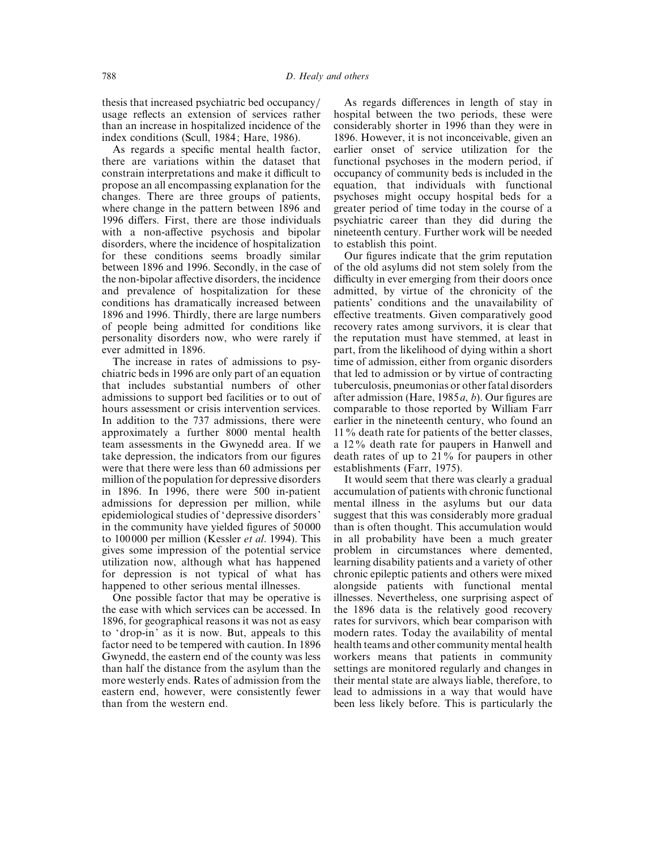thesis that increased psychiatric bed occupancy} usage reflects an extension of services rather than an increase in hospitalized incidence of the index conditions (Scull, 1984; Hare, 1986).

As regards a specific mental health factor, there are variations within the dataset that constrain interpretations and make it difficult to propose an all encompassing explanation for the changes. There are three groups of patients, where change in the pattern between 1896 and 1996 differs. First, there are those individuals with a non-affective psychosis and bipolar disorders, where the incidence of hospitalization for these conditions seems broadly similar between 1896 and 1996. Secondly, in the case of the non-bipolar affective disorders, the incidence and prevalence of hospitalization for these conditions has dramatically increased between 1896 and 1996. Thirdly, there are large numbers of people being admitted for conditions like personality disorders now, who were rarely if ever admitted in 1896.

The increase in rates of admissions to psychiatric beds in 1996 are only part of an equation that includes substantial numbers of other admissions to support bed facilities or to out of hours assessment or crisis intervention services. In addition to the 737 admissions, there were approximately a further 8000 mental health team assessments in the Gwynedd area. If we take depression, the indicators from our figures were that there were less than 60 admissions per million of the population for depressive disorders in 1896. In 1996, there were 500 in-patient admissions for depression per million, while epidemiological studies of 'depressive disorders' in the community have yielded figures of 50 000 to 100 000 per million (Kessler *et al*. 1994). This gives some impression of the potential service utilization now, although what has happened for depression is not typical of what has happened to other serious mental illnesses.

One possible factor that may be operative is the ease with which services can be accessed. In 1896, for geographical reasons it was not as easy to 'drop-in' as it is now. But, appeals to this factor need to be tempered with caution. In 1896 Gwynedd, the eastern end of the county was less than half the distance from the asylum than the more westerly ends. Rates of admission from the eastern end, however, were consistently fewer than from the western end.

As regards differences in length of stay in hospital between the two periods, these were considerably shorter in 1996 than they were in 1896. However, it is not inconceivable, given an earlier onset of service utilization for the functional psychoses in the modern period, if occupancy of community beds is included in the equation, that individuals with functional psychoses might occupy hospital beds for a greater period of time today in the course of a psychiatric career than they did during the nineteenth century. Further work will be needed to establish this point.

Our figures indicate that the grim reputation of the old asylums did not stem solely from the difficulty in ever emerging from their doors once admitted, by virtue of the chronicity of the patients' conditions and the unavailability of effective treatments. Given comparatively good recovery rates among survivors, it is clear that the reputation must have stemmed, at least in part, from the likelihood of dying within a short time of admission, either from organic disorders that led to admission or by virtue of contracting tuberculosis, pneumonias or other fatal disorders after admission (Hare, 1985*a*, *b*). Our figures are comparable to those reported by William Farr earlier in the nineteenth century, who found an 11% death rate for patients of the better classes, a 12% death rate for paupers in Hanwell and death rates of up to 21% for paupers in other establishments (Farr, 1975).

It would seem that there was clearly a gradual accumulation of patients with chronic functional mental illness in the asylums but our data suggest that this was considerably more gradual than is often thought. This accumulation would in all probability have been a much greater problem in circumstances where demented, learning disability patients and a variety of other chronic epileptic patients and others were mixed alongside patients with functional mental illnesses. Nevertheless, one surprising aspect of the 1896 data is the relatively good recovery rates for survivors, which bear comparison with modern rates. Today the availability of mental health teams and other community mental health workers means that patients in community settings are monitored regularly and changes in their mental state are always liable, therefore, to lead to admissions in a way that would have been less likely before. This is particularly the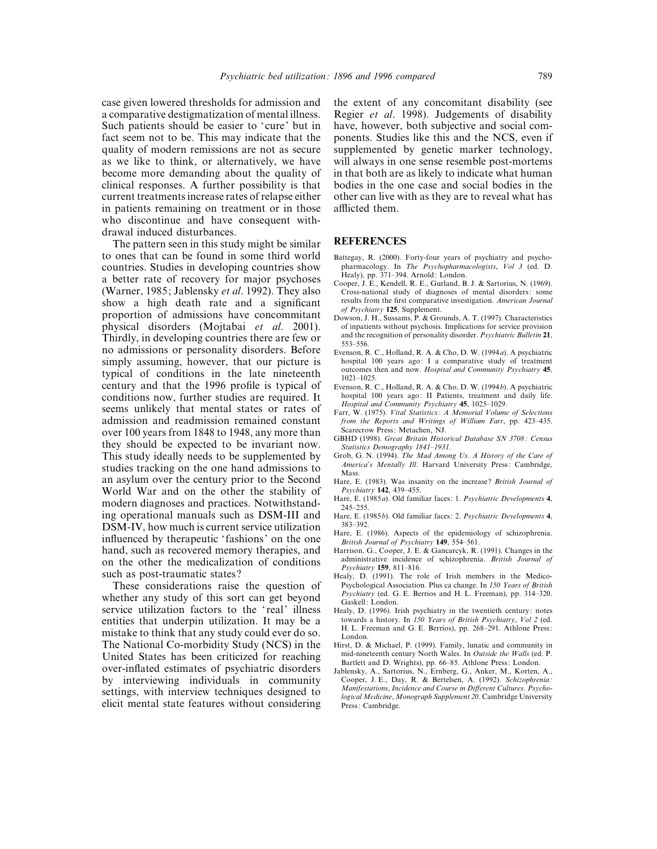case given lowered thresholds for admission and a comparative destigmatization of mental illness. Such patients should be easier to 'cure' but in fact seem not to be. This may indicate that the quality of modern remissions are not as secure as we like to think, or alternatively, we have become more demanding about the quality of clinical responses. A further possibility is that current treatments increase rates of relapse either in patients remaining on treatment or in those who discontinue and have consequent withdrawal induced disturbances.

The pattern seen in this study might be similar to ones that can be found in some third world countries. Studies in developing countries show a better rate of recovery for major psychoses (Warner, 1985; Jablensky *et al*. 1992). They also show a high death rate and a significant proportion of admissions have concommitant physical disorders (Mojtabai *et al*. 2001). Thirdly, in developing countries there are few or no admissions or personality disorders. Before simply assuming, however, that our picture is typical of conditions in the late nineteenth century and that the 1996 profile is typical of conditions now, further studies are required. It seems unlikely that mental states or rates of admission and readmission remained constant over 100 years from 1848 to 1948, any more than they should be expected to be invariant now. This study ideally needs to be supplemented by studies tracking on the one hand admissions to an asylum over the century prior to the Second World War and on the other the stability of modern diagnoses and practices. Notwithstanding operational manuals such as DSM-III and DSM-IV, how much is current service utilization influenced by therapeutic 'fashions' on the one hand, such as recovered memory therapies, and on the other the medicalization of conditions such as post-traumatic states ?

These considerations raise the question of whether any study of this sort can get beyond service utilization factors to the 'real' illness entities that underpin utilization. It may be a mistake to think that any study could ever do so. The National Co-morbidity Study (NCS) in the United States has been criticized for reaching over-inflated estimates of psychiatric disorders by interviewing individuals in community settings, with interview techniques designed to elicit mental state features without considering

the extent of any concomitant disability (see Regier *et al*. 1998). Judgements of disability have, however, both subjective and social components. Studies like this and the NCS, even if supplemented by genetic marker technology, will always in one sense resemble post-mortems in that both are as likely to indicate what human bodies in the one case and social bodies in the other can live with as they are to reveal what has afflicted them.

#### **REFERENCES**

- Battegay, R. (2000). Forty-four years of psychiatry and psychopharmacology. In *The Psychopharmacologists*, *Vol 3* (ed. D. Healy), pp. 371–394. Arnold: London.
- Cooper, J. E., Kendell, R. E., Gurland, B. J. & Sartorius, N. (1969). Cross-national study of diagnoses of mental disorders: some results from the first comparative investigation. *American Journal of Psychiatry* **125**, Supplement.
- Dowson, J. H., Sussams, P. & Grounds, A. T. (1997). Characteristics of inpatients without psychosis. Implications for service provision and the recognition of personality disorder. *Psychiatric Bulletin* **21**, 553–556.
- Evenson, R. C., Holland, R. A. & Cho, D. W. (1994*a*). A psychiatric hospital 100 years ago: I a comparative study of treatment outcomes then and now. *Hospital and Community Psychiatry* **45**, 1021–1025.
- Evenson, R. C., Holland, R. A. & Cho, D. W. (1994*b*). A psychiatric hospital 100 years ago: II Patients, treatment and daily life. *Hospital and Community Psychiatry* **45**, 1025–1029.
- Farr, W. (1975). *Vital Statistics : A Memorial Volume of Selections from the Reports and Writings of William Farr*, pp. 423–435. Scarecrow Press: Metachen, NJ.
- GBHD (1998). *Great Britain Historical Database SN 3708 : Census Statistics Demography 1841–1931*.
- Grob, G. N. (1994). *The Mad Among Us*. *A History of the Care of America*'*s Mentally Ill*. Harvard University Press: Cambridge, Mass.
- Hare, E. (1983). Was insanity on the increase ? *British Journal of Psychiatry* **142**, 439–455.
- Hare, E. (1985*a*). Old familiar faces: 1. *Psychiatric Developments* **4**, 245–255.
- Hare, E. (1985*b*). Old familiar faces: 2. *Psychiatric Developments* **4**, 383–392.
- Hare, E. (1986). Aspects of the epidemiology of schizophrenia. *British Journal of Psychiatry* **149**, 554–561.
- Harrison, G., Cooper, J. E. & Gancarcyk, R. (1991). Changes in the administrative incidence of schizophrenia. *British Journal of Psychiatry* **159**, 811–816.
- Healy, D. (1991). The role of Irish members in the Medico-Psychological Association. Plus ca change. In *150 Years of British Psychiatry* (ed. G. E. Berrios and H. L. Freeman), pp. 314–320. Gaskell: London.
- Healy, D. (1996). Irish psychiatry in the twentieth century: notes towards a history. In *150 Years of British Psychiatry*, *Vol 2* (ed. H. L. Freeman and G. E. Berrios), pp. 268–291. Athlone Press: London.
- Hirst, D. & Michael, P. (1999). Family, lunatic and community in mid-nineteenth century North Wales. In *Outside the Walls* (ed. P. Bartlett and D. Wrights), pp. 66–85. Athlone Press: London.
- Jablensky, A., Sartorius, N., Ernberg, G., Anker, M., Korten, A., Cooper, J. E., Day, R. & Bertelsen, A. (1992). *Schizophrenia : Manifestations*, *Incidence and Course in Different Cultures*. *Psychological Medicine*, *Monograph Supplement 20*. Cambridge University Press: Cambridge.